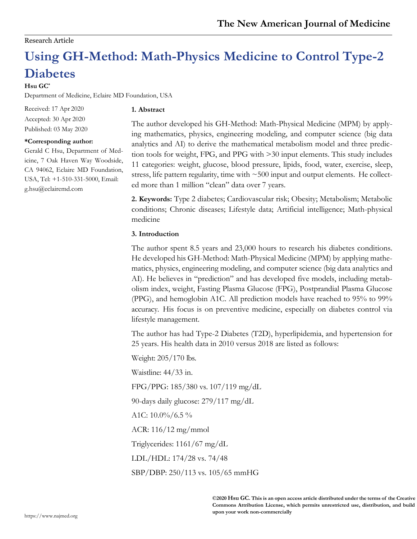## Research Article

# **Using GH-Method: Math-Physics Medicine to Control Type-2 Diabetes**

### **Hsu GC\***

Department of Medicine, Eclaire MD Foundation, USA

Received: 17 Apr 2020 Accepted: 30 Apr 2020 Published: 03 May 2020

#### **\*Corresponding author:**

Gerald C Hsu, Department of Medicine, 7 Oak Haven Way Woodside, CA 94062, Eclaire MD Foundation, USA, Tel: +1-510-331-5000, Email: [g.hsu@eclairemd.com](mailto:g.hsu@eclairemd.com)

### **1. Abstract**

The author developed his GH-Method: Math-Physical Medicine (MPM) by applying mathematics, physics, engineering modeling, and computer science (big data analytics and AI) to derive the mathematical metabolism model and three prediction tools for weight, FPG, and PPG with >30 input elements. This study includes 11 categories: weight, glucose, blood pressure, lipids, food, water, exercise, sleep, stress, life pattern regularity, time with  $\sim$  500 input and output elements. He collected more than 1 million "clean" data over 7 years.

**2. Keywords:** Type 2 diabetes; Cardiovascular risk; Obesity; Metabolism; Metabolic conditions; Chronic diseases; Lifestyle data; Artificial intelligence; Math-physical medicine

# **3. Introduction**

The author spent 8.5 years and 23,000 hours to research his diabetes conditions. He developed his GH-Method: Math-Physical Medicine (MPM) by applying mathematics, physics, engineering modeling, and computer science (big data analytics and AI). He believes in "prediction" and has developed five models, including metabolism index, weight, Fasting Plasma Glucose (FPG), Postprandial Plasma Glucose (PPG), and hemoglobin A1C. All prediction models have reached to 95% to 99% accuracy. His focus is on preventive medicine, especially on diabetes control via lifestyle management.

The author has had Type-2 Diabetes (T2D), hyperlipidemia, and hypertension for 25 years. His health data in 2010 versus 2018 are listed as follows:

Weight: 205/170 lbs.

Waistline: 44/33 in.

FPG/PPG: 185/380 vs. 107/119 mg/dL

90-days daily glucose: 279/117 mg/dL

A1C:  $10.0\%/6.5\%$ 

ACR: 116/12 mg/mmol

Triglycerides: 1161/67 mg/dL

LDL/HDL: 174/28 vs. 74/48

SBP/DBP: 250/113 vs. 105/65 mmHG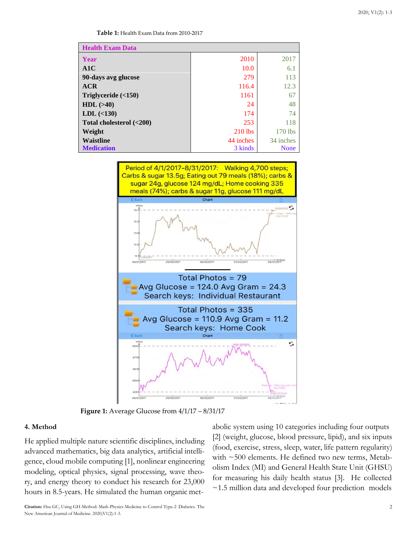**Table 1:** Health Exam Data from 2010-2017

| <b>Health Exam Data</b>  |           |             |
|--------------------------|-----------|-------------|
| Year                     | 2010      | 2017        |
| A1C                      | 10.0      | 6.1         |
| 90-days avg glucose      | 279       | 113         |
| ACR                      | 116.4     | 12.3        |
| Triglyceride $( < 150)$  | 1161      | 67          |
| $HDL$ ( $>40$ )          | 24        | 48          |
| LDL (<130)               | 174       | 74          |
| Total cholesterol (<200) | 253       | 118         |
| Weight                   | $210$ lbs | 170 lbs     |
| <b>Waistline</b>         | 44 inches | 34 inches   |
| <b>Medication</b>        | 3 kinds   | <b>None</b> |



**Figure 1:** Average Glucose from 4/1/17 – 8/31/17

#### **4. Method**

He applied multiple nature scientific disciplines, including advanced mathematics, big data analytics, artificial intelligence, cloud mobile computing [1], nonlinear engineering modeling, optical physics, signal processing, wave theory, and energy theory to conduct his research for 23,000 hours in 8.5-years. He simulated the human organic metabolic system using 10 categories including four outputs [2] (weight, glucose, blood pressure, lipid), and six inputs (food, exercise, stress, sleep, water, life pattern regularity) with ~500 elements. He defined two new terms, Metabolism Index (MI) and General Health State Unit (GHSU) for measuring his daily health status [3]. He collected ~1.5 million data and developed four prediction models